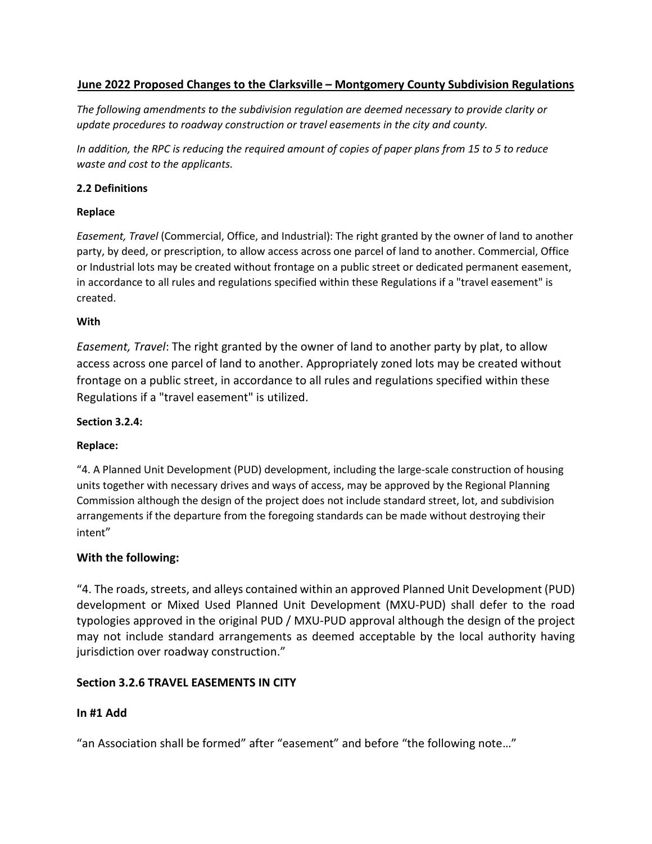# **June 2022 Proposed Changes to the Clarksville – Montgomery County Subdivision Regulations**

*The following amendments to the subdivision regulation are deemed necessary to provide clarity or update procedures to roadway construction or travel easements in the city and county.*

*In addition, the RPC is reducing the required amount of copies of paper plans from 15 to 5 to reduce waste and cost to the applicants.*

#### **2.2 Definitions**

#### **Replace**

*Easement, Travel* (Commercial, Office, and Industrial): The right granted by the owner of land to another party, by deed, or prescription, to allow access across one parcel of land to another. Commercial, Office or Industrial lots may be created without frontage on a public street or dedicated permanent easement, in accordance to all rules and regulations specified within these Regulations if a "travel easement" is created.

#### **With**

*Easement, Travel*: The right granted by the owner of land to another party by plat, to allow access across one parcel of land to another. Appropriately zoned lots may be created without frontage on a public street, in accordance to all rules and regulations specified within these Regulations if a "travel easement" is utilized.

#### **Section 3.2.4:**

## **Replace:**

"4. A Planned Unit Development (PUD) development, including the large-scale construction of housing units together with necessary drives and ways of access, may be approved by the Regional Planning Commission although the design of the project does not include standard street, lot, and subdivision arrangements if the departure from the foregoing standards can be made without destroying their intent"

## **With the following:**

"4. The roads, streets, and alleys contained within an approved Planned Unit Development (PUD) development or Mixed Used Planned Unit Development (MXU-PUD) shall defer to the road typologies approved in the original PUD / MXU-PUD approval although the design of the project may not include standard arrangements as deemed acceptable by the local authority having jurisdiction over roadway construction."

# **Section 3.2.6 TRAVEL EASEMENTS IN CITY**

## **In #1 Add**

"an Association shall be formed" after "easement" and before "the following note…"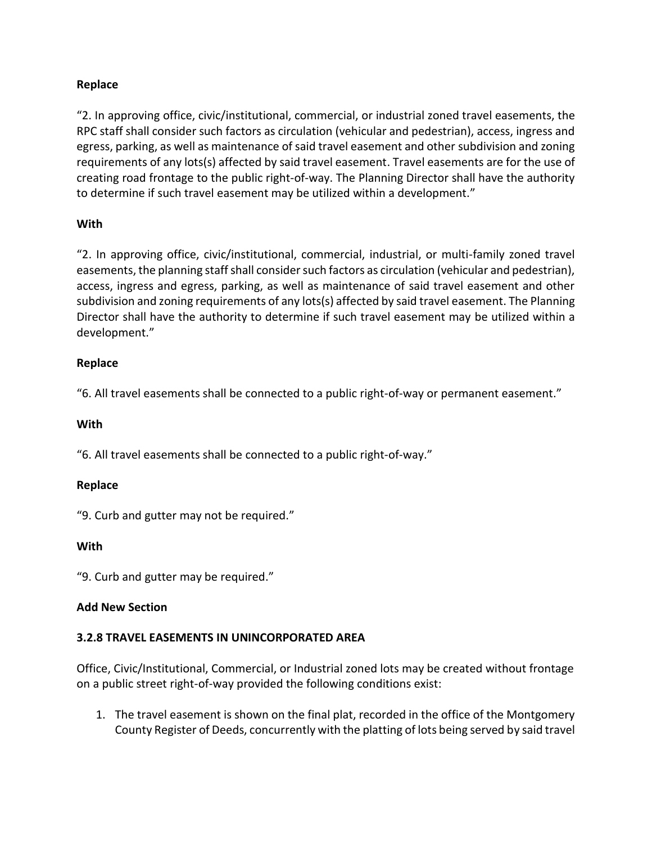# **Replace**

"2. In approving office, civic/institutional, commercial, or industrial zoned travel easements, the RPC staff shall consider such factors as circulation (vehicular and pedestrian), access, ingress and egress, parking, as well as maintenance of said travel easement and other subdivision and zoning requirements of any lots(s) affected by said travel easement. Travel easements are for the use of creating road frontage to the public right-of-way. The Planning Director shall have the authority to determine if such travel easement may be utilized within a development."

# **With**

"2. In approving office, civic/institutional, commercial, industrial, or multi-family zoned travel easements, the planning staff shall consider such factors as circulation (vehicular and pedestrian), access, ingress and egress, parking, as well as maintenance of said travel easement and other subdivision and zoning requirements of any lots(s) affected by said travel easement. The Planning Director shall have the authority to determine if such travel easement may be utilized within a development."

# **Replace**

"6. All travel easements shall be connected to a public right-of-way or permanent easement."

## **With**

"6. All travel easements shall be connected to a public right-of-way."

## **Replace**

"9. Curb and gutter may not be required."

## **With**

"9. Curb and gutter may be required."

## **Add New Section**

## **3.2.8 TRAVEL EASEMENTS IN UNINCORPORATED AREA**

Office, Civic/Institutional, Commercial, or Industrial zoned lots may be created without frontage on a public street right-of-way provided the following conditions exist:

1. The travel easement is shown on the final plat, recorded in the office of the Montgomery County Register of Deeds, concurrently with the platting of lots being served by said travel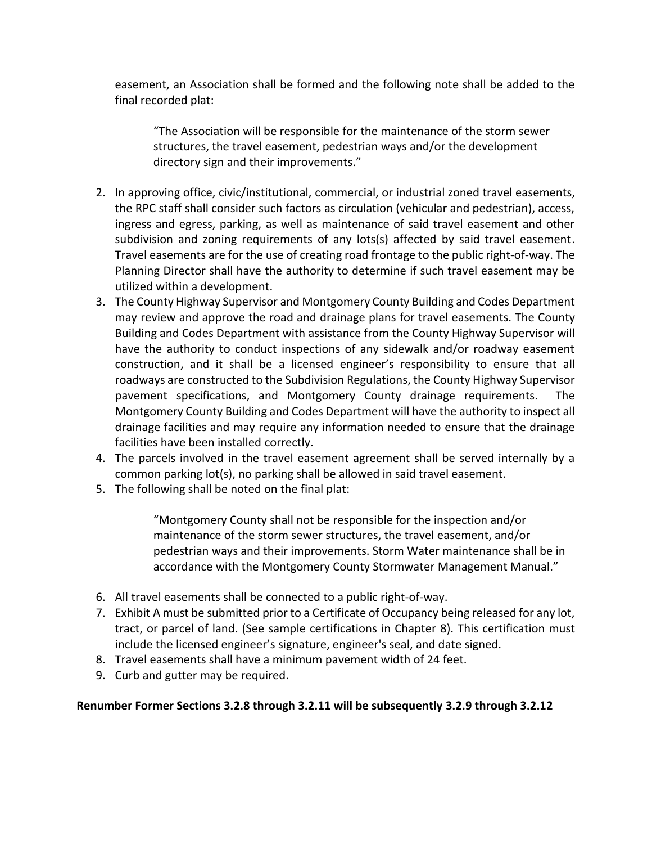easement, an Association shall be formed and the following note shall be added to the final recorded plat:

"The Association will be responsible for the maintenance of the storm sewer structures, the travel easement, pedestrian ways and/or the development directory sign and their improvements."

- 2. In approving office, civic/institutional, commercial, or industrial zoned travel easements, the RPC staff shall consider such factors as circulation (vehicular and pedestrian), access, ingress and egress, parking, as well as maintenance of said travel easement and other subdivision and zoning requirements of any lots(s) affected by said travel easement. Travel easements are for the use of creating road frontage to the public right-of-way. The Planning Director shall have the authority to determine if such travel easement may be utilized within a development.
- 3. The County Highway Supervisor and Montgomery County Building and Codes Department may review and approve the road and drainage plans for travel easements. The County Building and Codes Department with assistance from the County Highway Supervisor will have the authority to conduct inspections of any sidewalk and/or roadway easement construction, and it shall be a licensed engineer's responsibility to ensure that all roadways are constructed to the Subdivision Regulations, the County Highway Supervisor pavement specifications, and Montgomery County drainage requirements. The Montgomery County Building and Codes Department will have the authority to inspect all drainage facilities and may require any information needed to ensure that the drainage facilities have been installed correctly.
- 4. The parcels involved in the travel easement agreement shall be served internally by a common parking lot(s), no parking shall be allowed in said travel easement.
- 5. The following shall be noted on the final plat:

"Montgomery County shall not be responsible for the inspection and/or maintenance of the storm sewer structures, the travel easement, and/or pedestrian ways and their improvements. Storm Water maintenance shall be in accordance with the Montgomery County Stormwater Management Manual."

- 6. All travel easements shall be connected to a public right-of-way.
- 7. Exhibit A must be submitted prior to a Certificate of Occupancy being released for any lot, tract, or parcel of land. (See sample certifications in Chapter 8). This certification must include the licensed engineer's signature, engineer's seal, and date signed.
- 8. Travel easements shall have a minimum pavement width of 24 feet.
- 9. Curb and gutter may be required.

## **Renumber Former Sections 3.2.8 through 3.2.11 will be subsequently 3.2.9 through 3.2.12**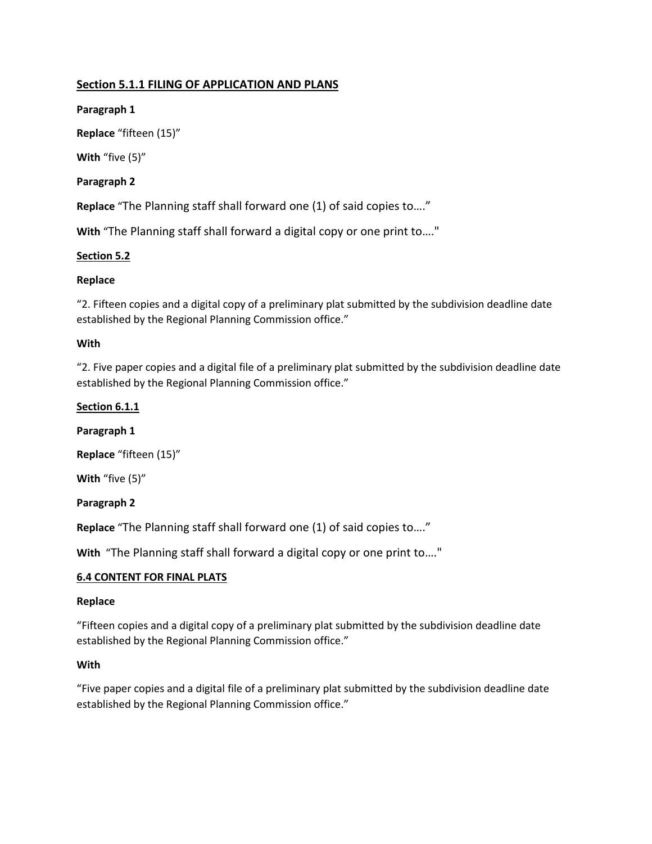# **Section 5.1.1 FILING OF APPLICATION AND PLANS**

**Paragraph 1** 

**Replace** "fifteen (15)"

**With** "five (5)"

## **Paragraph 2**

**Replace** "The Planning staff shall forward one (1) of said copies to…."

**With** "The Planning staff shall forward a digital copy or one print to…."

## **Section 5.2**

## **Replace**

"2. Fifteen copies and a digital copy of a preliminary plat submitted by the subdivision deadline date established by the Regional Planning Commission office."

#### **With**

"2. Five paper copies and a digital file of a preliminary plat submitted by the subdivision deadline date established by the Regional Planning Commission office."

#### **Section 6.1.1**

**Paragraph 1** 

**Replace** "fifteen (15)"

**With** "five (5)"

#### **Paragraph 2**

**Replace** "The Planning staff shall forward one (1) of said copies to…."

**With** "The Planning staff shall forward a digital copy or one print to…."

#### **6.4 CONTENT FOR FINAL PLATS**

#### **Replace**

"Fifteen copies and a digital copy of a preliminary plat submitted by the subdivision deadline date established by the Regional Planning Commission office."

#### **With**

"Five paper copies and a digital file of a preliminary plat submitted by the subdivision deadline date established by the Regional Planning Commission office."